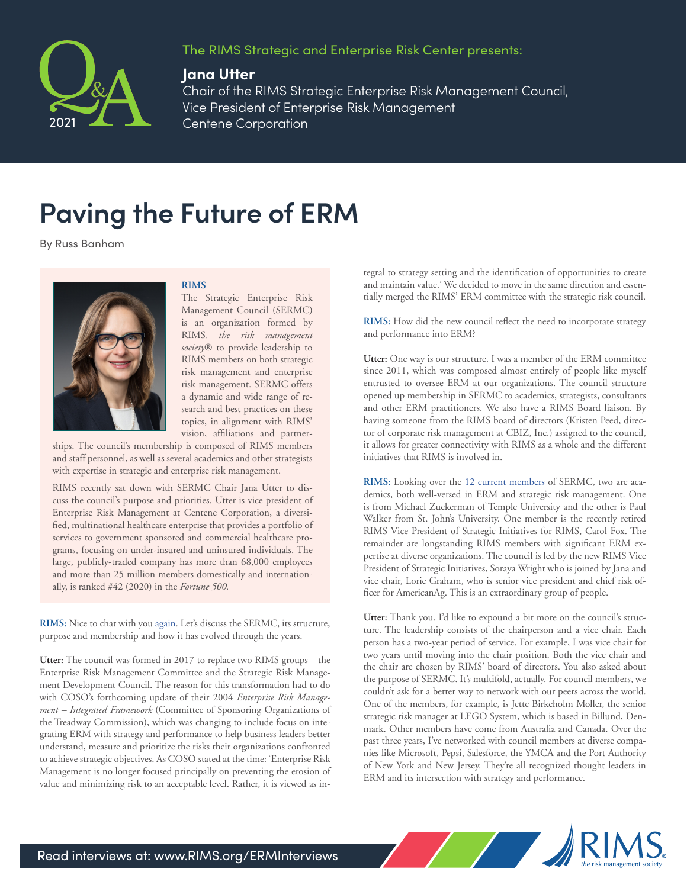



## **Jana Utter**

Chair of the RIMS Strategic Enterprise Risk Management Council, Vice President of Enterprise Risk Management Centene Corporation

## **Paving the Future of ERM**

By Russ Banham

Pamela G. Rogers

## **RIMS**

The Strategic Enterprise Risk Management Council (SERMC) is an organization formed by RIMS, *the risk management society*® to provide leadership to RIMS members on both strategic risk management and enterprise risk management. SERMC offers a dynamic and wide range of research and best practices on these topics, in alignment with RIMS' vision, affiliations and partner-

ships. The council's membership is composed of RIMS members and staff personnel, as well as several academics and other strategists with expertise in strategic and enterprise risk management.

RIMS recently sat down with SERMC Chair Jana Utter to discuss the council's purpose and priorities. Utter is vice president of Enterprise Risk Management at Centene Corporation, a diversified, multinational healthcare enterprise that provides a portfolio of services to government sponsored and commercial healthcare programs, focusing on under-insured and uninsured individuals. The large, publicly-traded company has more than 68,000 employees and more than 25 million members domestically and internationally, is ranked #42 (2020) in the *Fortune 500.*

**RIMS:** Nice to chat with you [again.](https://www.rims.org/docs/default-source/default-document-library/erm-q-a/jane-utter-interview.pdf?sfvrsn=2ce94b89_1) Let's discuss the SERMC, its structure, purpose and membership and how it has evolved through the years.

**Utter:** The council was formed in 2017 to replace two RIMS groups—the Enterprise Risk Management Committee and the Strategic Risk Management Development Council. The reason for this transformation had to do with COSO's forthcoming update of their 2004 *Enterprise Risk Management – Integrated Framework* (Committee of Sponsoring Organizations of the Treadway Commission), which was changing to include focus on integrating ERM with strategy and performance to help business leaders better understand, measure and prioritize the risks their organizations confronted to achieve strategic objectives. As COSO stated at the time: 'Enterprise Risk Management is no longer focused principally on preventing the erosion of value and minimizing risk to an acceptable level. Rather, it is viewed as integral to strategy setting and the identification of opportunities to create and maintain value.' We decided to move in the same direction and essentially merged the RIMS' ERM committee with the strategic risk council.

**RIMS:** How did the new council reflect the need to incorporate strategy and performance into ERM?

**Utter:** One way is our structure. I was a member of the ERM committee since 2011, which was composed almost entirely of people like myself entrusted to oversee ERM at our organizations. The council structure opened up membership in SERMC to academics, strategists, consultants and other ERM practitioners. We also have a RIMS Board liaison. By having someone from the RIMS board of directors (Kristen Peed, director of corporate risk management at CBIZ, Inc.) assigned to the council, it allows for greater connectivity with RIMS as a whole and the different initiatives that RIMS is involved in.

**RIMS:** Looking over the [12 current members](https://community.rims.org/rims/communities/committeehome?CommunityKey=416a411a-f50f-4a58-b9a0-4e5191e5cba6) of SERMC, two are academics, both well-versed in ERM and strategic risk management. One is from Michael Zuckerman of Temple University and the other is Paul Walker from St. John's University. One member is the recently retired RIMS Vice President of Strategic Initiatives for RIMS, Carol Fox. The remainder are longstanding RIMS members with significant ERM expertise at diverse organizations. The council is led by the new RIMS Vice President of Strategic Initiatives, Soraya Wright who is joined by Jana and vice chair, Lorie Graham, who is senior vice president and chief risk officer for AmericanAg. This is an extraordinary group of people.

**Utter:** Thank you. I'd like to expound a bit more on the council's structure. The leadership consists of the chairperson and a vice chair. Each person has a two-year period of service. For example, I was vice chair for two years until moving into the chair position. Both the vice chair and the chair are chosen by RIMS' board of directors. You also asked about the purpose of SERMC. It's multifold, actually. For council members, we couldn't ask for a better way to network with our peers across the world. One of the members, for example, is Jette Birkeholm Moller, the senior strategic risk manager at LEGO System, which is based in Billund, Denmark. Other members have come from Australia and Canada. Over the past three years, I've networked with council members at diverse companies like Microsoft, Pepsi, Salesforce, the YMCA and the Port Authority of New York and New Jersey. They're all recognized thought leaders in ERM and its intersection with strategy and performance.